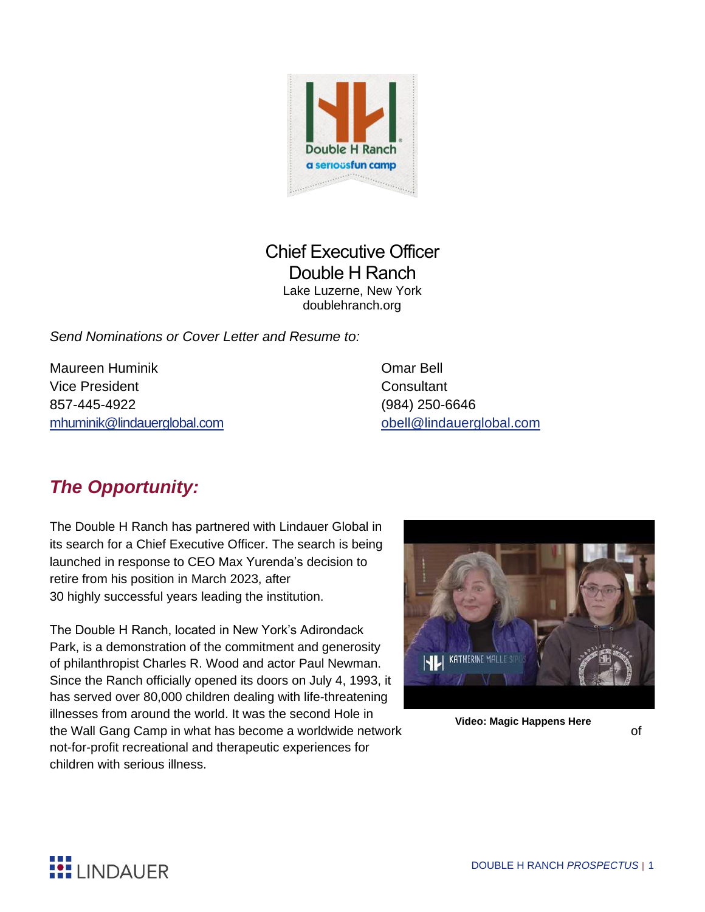

### Chief Executive Officer Double H Ranch Lake Luzerne, New York doublehranch.org

*Send Nominations or Cover Letter and Resume to:*

Maureen Huminik Omar Bell Vice President **Consultant** 857-445-4922 (984) 250-6646 [mhuminik@lindauerglobal.com](mailto:mhuminik@lindauerglobal.com) obell@lindauerglobal.com

# *The Opportunity:*

The Double H Ranch has partnered with Lindauer Global in its search for a Chief Executive Officer. The search is being launched in response to CEO Max Yurenda's decision to retire from his position in March 2023, after 30 highly successful years leading the institution.

The Double H Ranch, located in New York's Adirondack Park, is a demonstration of the commitment and generosity of philanthropist Charles R. Wood and actor Paul Newman. Since the Ranch officially opened its doors on July 4, 1993, it has served over 80,000 children dealing with life-threatening illnesses from around the world. It was the second Hole in the Wall Gang Camp in what has become a worldwide network **come the Wall Gang Camp in what has become** a worldwide network not-for-profit recreational and therapeutic experiences for children with serious illness.



 **Video: Magic Happens Here**

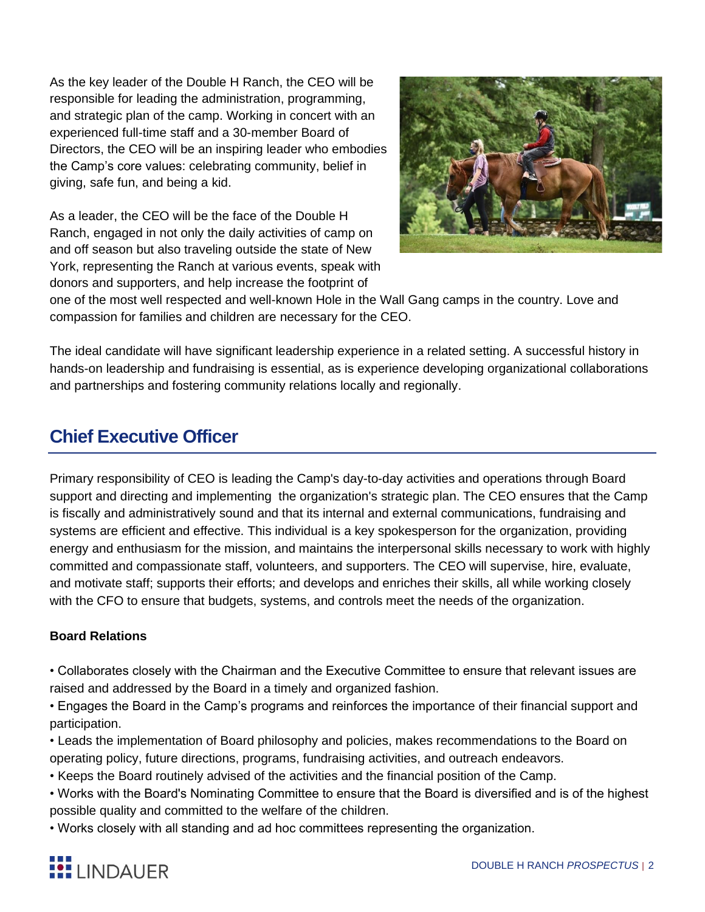As the key leader of the Double H Ranch, the CEO will be responsible for leading the administration, programming, and strategic plan of the camp. Working in concert with an experienced full-time staff and a 30-member Board of Directors, the CEO will be an inspiring leader who embodies the Camp's core values: celebrating community, belief in giving, safe fun, and being a kid.

As a leader, the CEO will be the face of the Double H Ranch, engaged in not only the daily activities of camp on and off season but also traveling outside the state of New York, representing the Ranch at various events, speak with donors and supporters, and help increase the footprint of



one of the most well respected and well-known Hole in the Wall Gang camps in the country. Love and compassion for families and children are necessary for the CEO.

The ideal candidate will have significant leadership experience in a related setting. A successful history in hands-on leadership and fundraising is essential, as is experience developing organizational collaborations and partnerships and fostering community relations locally and regionally.

## **Chief Executive Officer**

Primary responsibility of CEO is leading the Camp's day-to-day activities and operations through Board support and directing and implementing the organization's strategic plan. The CEO ensures that the Camp is fiscally and administratively sound and that its internal and external communications, fundraising and systems are efficient and effective. This individual is a key spokesperson for the organization, providing energy and enthusiasm for the mission, and maintains the interpersonal skills necessary to work with highly committed and compassionate staff, volunteers, and supporters. The CEO will supervise, hire, evaluate, and motivate staff; supports their efforts; and develops and enriches their skills, all while working closely with the CFO to ensure that budgets, systems, and controls meet the needs of the organization.

### **Board Relations**

• Collaborates closely with the Chairman and the Executive Committee to ensure that relevant issues are raised and addressed by the Board in a timely and organized fashion.

• Engages the Board in the Camp's programs and reinforces the importance of their financial support and participation.

• Leads the implementation of Board philosophy and policies, makes recommendations to the Board on operating policy, future directions, programs, fundraising activities, and outreach endeavors.

• Keeps the Board routinely advised of the activities and the financial position of the Camp.

• Works with the Board's Nominating Committee to ensure that the Board is diversified and is of the highest possible quality and committed to the welfare of the children.

• Works closely with all standing and ad hoc committees representing the organization.

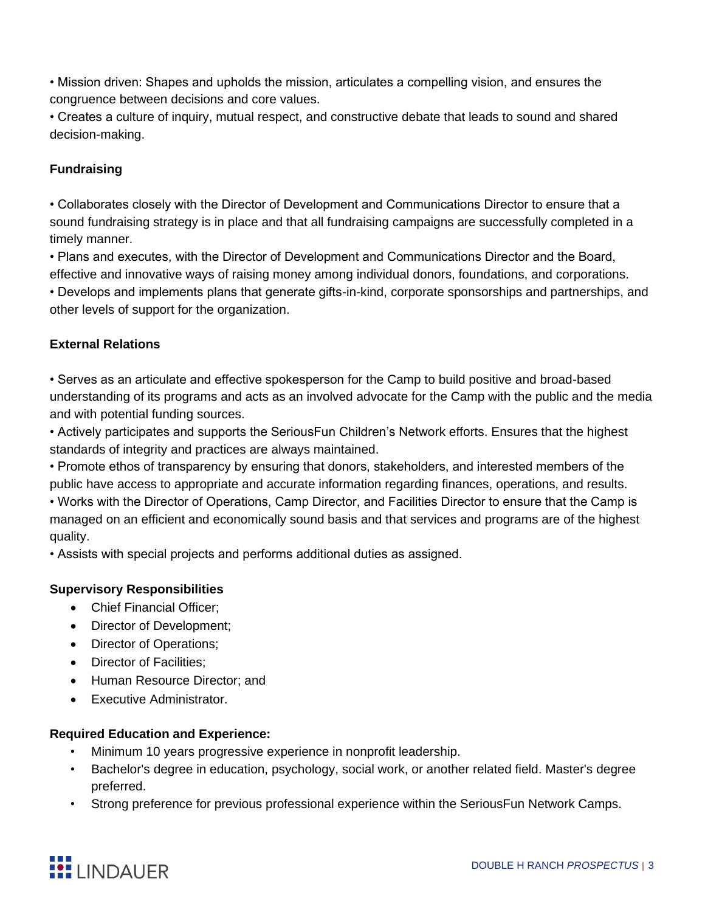• Mission driven: Shapes and upholds the mission, articulates a compelling vision, and ensures the congruence between decisions and core values.

• Creates a culture of inquiry, mutual respect, and constructive debate that leads to sound and shared decision-making.

### **Fundraising**

• Collaborates closely with the Director of Development and Communications Director to ensure that a sound fundraising strategy is in place and that all fundraising campaigns are successfully completed in a timely manner.

• Plans and executes, with the Director of Development and Communications Director and the Board, effective and innovative ways of raising money among individual donors, foundations, and corporations.

• Develops and implements plans that generate gifts-in-kind, corporate sponsorships and partnerships, and other levels of support for the organization.

#### **External Relations**

• Serves as an articulate and effective spokesperson for the Camp to build positive and broad-based understanding of its programs and acts as an involved advocate for the Camp with the public and the media and with potential funding sources.

• Actively participates and supports the SeriousFun Children's Network efforts. Ensures that the highest standards of integrity and practices are always maintained.

• Promote ethos of transparency by ensuring that donors, stakeholders, and interested members of the public have access to appropriate and accurate information regarding finances, operations, and results.

• Works with the Director of Operations, Camp Director, and Facilities Director to ensure that the Camp is managed on an efficient and economically sound basis and that services and programs are of the highest quality.

• Assists with special projects and performs additional duties as assigned.

#### **Supervisory Responsibilities**

- Chief Financial Officer;
- Director of Development;
- Director of Operations;
- Director of Facilities:
- Human Resource Director; and
- Executive Administrator.

#### **Required Education and Experience:**

- Minimum 10 years progressive experience in nonprofit leadership.
- Bachelor's degree in education, psychology, social work, or another related field. Master's degree preferred.
- Strong preference for previous professional experience within the SeriousFun Network Camps.

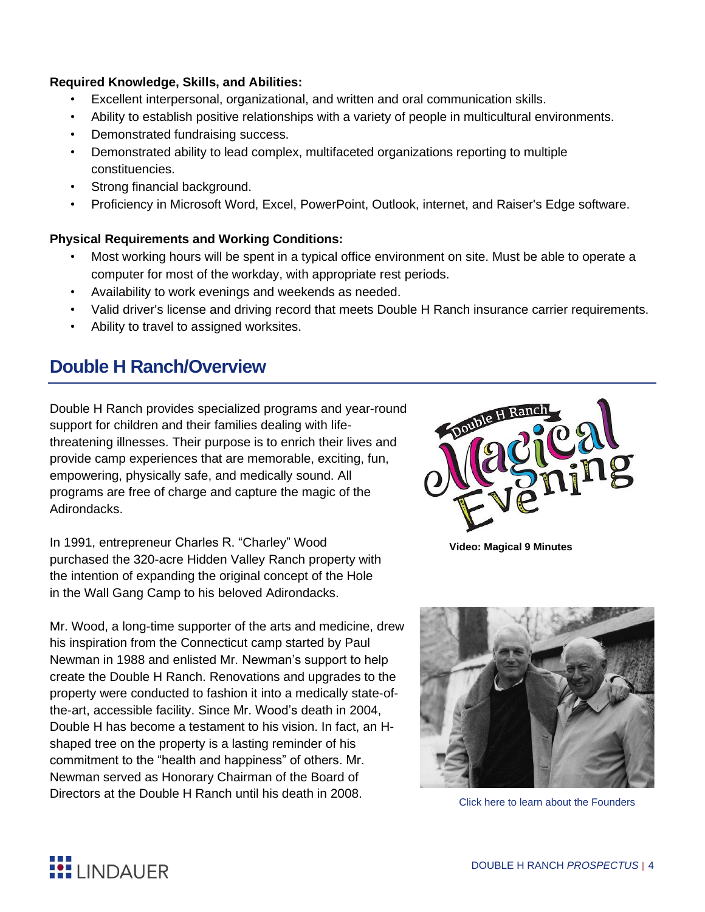#### **Required Knowledge, Skills, and Abilities:**

- Excellent interpersonal, organizational, and written and oral communication skills.
- Ability to establish positive relationships with a variety of people in multicultural environments.
- Demonstrated fundraising success.
- Demonstrated ability to lead complex, multifaceted organizations reporting to multiple constituencies.
- Strong financial background.
- Proficiency in Microsoft Word, Excel, PowerPoint, Outlook, internet, and Raiser's Edge software.

#### **Physical Requirements and Working Conditions:**

- Most working hours will be spent in a typical office environment on site. Must be able to operate a computer for most of the workday, with appropriate rest periods.
- Availability to work evenings and weekends as needed.
- Valid driver's license and driving record that meets Double H Ranch insurance carrier requirements.
- Ability to travel to assigned worksites.

### **Double H Ranch/Overview**

Double H Ranch provides specialized programs and year-round support for children and their families dealing with lifethreatening illnesses. Their purpose is to enrich their lives and provide camp experiences that are memorable, exciting, fun, empowering, physically safe, and medically sound. All programs are free of charge and capture the magic of the Adirondacks.

In 1991, entrepreneur Charles R. "Charley" Wood purchased the 320-acre Hidden Valley Ranch property with the intention of expanding the original concept of the Hole in the Wall Gang Camp to his beloved Adirondacks.

Mr. Wood, a long-time supporter of the arts and medicine, drew his inspiration from the Connecticut camp started by Paul Newman in 1988 and enlisted Mr. Newman's support to help create the Double H Ranch. Renovations and upgrades to the property were conducted to fashion it into a medically state-ofthe-art, accessible facility. Since Mr. Wood's death in 2004, Double H has become a testament to his vision. In fact, an Hshaped tree on the property is a lasting reminder of his commitment to the "health and happiness" of others. Mr. Newman served as Honorary Chairman of the Board of Directors at the Double H Ranch until his death in 2008.



 **Video: Magical 9 Minutes**



[Click here to learn about the Founders](https://www.doublehranch.org/about/history/)

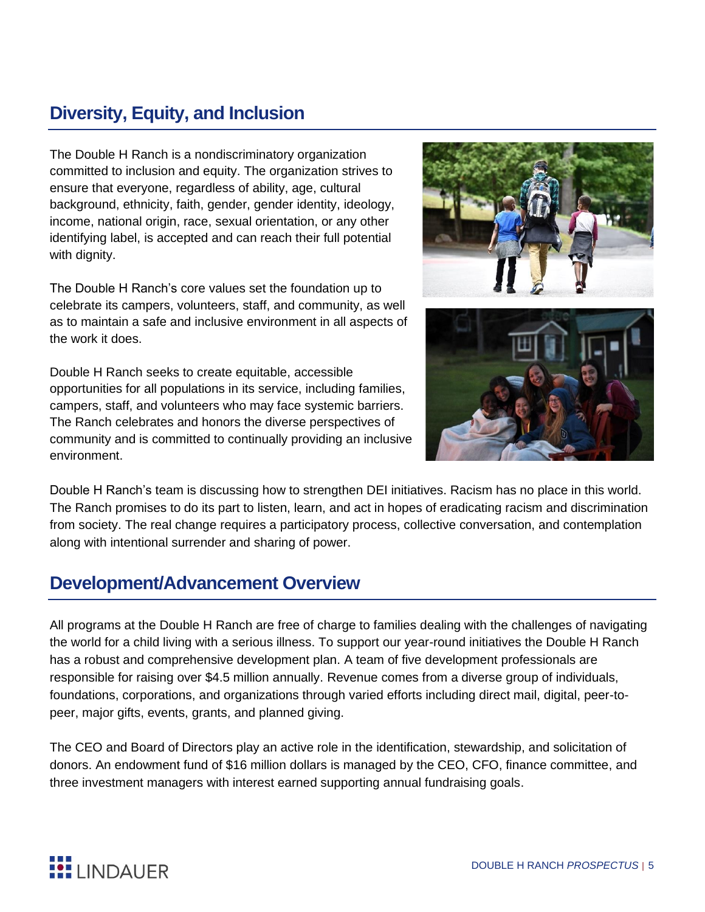# **Diversity, Equity, and Inclusion**

The Double H Ranch is a nondiscriminatory organization committed to inclusion and equity. The organization strives to ensure that everyone, regardless of ability, age, cultural background, ethnicity, faith, gender, gender identity, ideology, income, national origin, race, sexual orientation, or any other identifying label, is accepted and can reach their full potential with dignity.

The Double H Ranch's core values set the foundation up to celebrate its campers, volunteers, staff, and community, as well as to maintain a safe and inclusive environment in all aspects of the work it does.

Double H Ranch seeks to create equitable, accessible opportunities for all populations in its service, including families, campers, staff, and volunteers who may face systemic barriers. The Ranch celebrates and honors the diverse perspectives of community and is committed to continually providing an inclusive environment.





Double H Ranch's team is discussing how to strengthen DEI initiatives. Racism has no place in this world. The Ranch promises to do its part to listen, learn, and act in hopes of eradicating racism and discrimination from society. The real change requires a participatory process, collective conversation, and contemplation along with intentional surrender and sharing of power.

## **Development/Advancement Overview**

All programs at the Double H Ranch are free of charge to families dealing with the challenges of navigating the world for a child living with a serious illness. To support our year-round initiatives the Double H Ranch has a robust and comprehensive development plan. A team of five development professionals are responsible for raising over \$4.5 million annually. Revenue comes from a diverse group of individuals, foundations, corporations, and organizations through varied efforts including direct mail, digital, peer-topeer, major gifts, events, grants, and planned giving.

The CEO and Board of Directors play an active role in the identification, stewardship, and solicitation of donors. An endowment fund of \$16 million dollars is managed by the CEO, CFO, finance committee, and three investment managers with interest earned supporting annual fundraising goals.

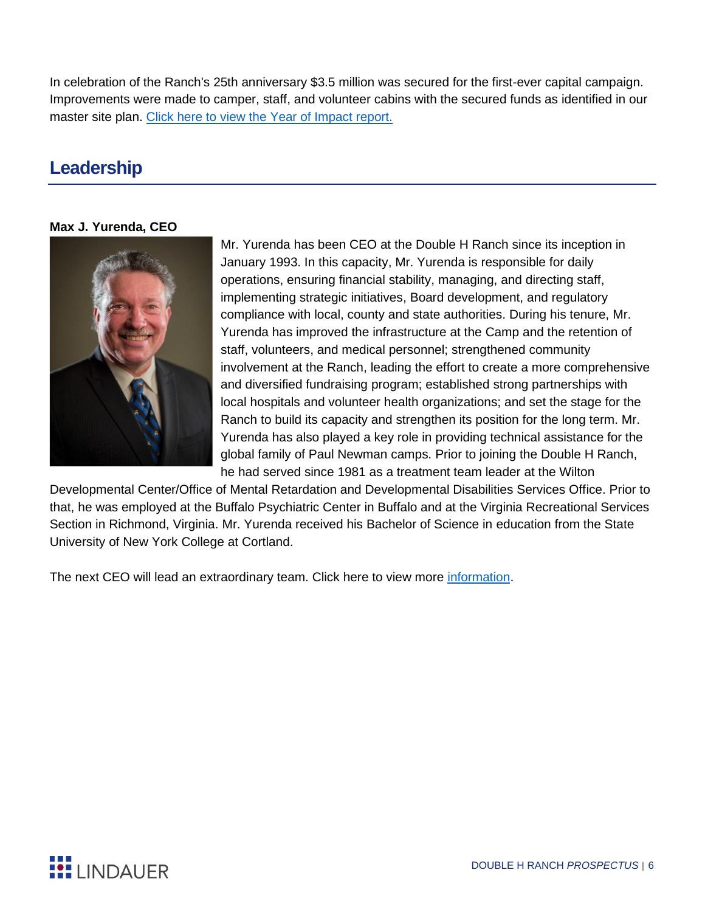In celebration of the Ranch's 25th anniversary \$3.5 million was secured for the first-ever capital campaign. Improvements were made to camper, staff, and volunteer cabins with the secured funds as identified in our master site plan. Click here to view the [Year of Impact report.](https://lllsearches.box.com/s/qcygvhkadxyfphmjtj5nd93rmk1vdi9s)

# **Leadership**

#### **Max J. Yurenda, CEO**



Mr. Yurenda has been CEO at the Double H Ranch since its inception in January 1993. In this capacity, Mr. Yurenda is responsible for daily operations, ensuring financial stability, managing, and directing staff, implementing strategic initiatives, Board development, and regulatory compliance with local, county and state authorities. During his tenure, Mr. Yurenda has improved the infrastructure at the Camp and the retention of staff, volunteers, and medical personnel; strengthened community involvement at the Ranch, leading the effort to create a more comprehensive and diversified fundraising program; established strong partnerships with local hospitals and volunteer health organizations; and set the stage for the Ranch to build its capacity and strengthen its position for the long term. Mr. Yurenda has also played a key role in providing technical assistance for the global family of Paul Newman camps. Prior to joining the Double H Ranch, he had served since 1981 as a treatment team leader at the Wilton

Developmental Center/Office of Mental Retardation and Developmental Disabilities Services Office. Prior to that, he was employed at the Buffalo Psychiatric Center in Buffalo and at the Virginia Recreational Services Section in Richmond, Virginia. Mr. Yurenda received his Bachelor of Science in education from the State University of New York College at Cortland.

The next CEO will lead an extraordinary team. Click here to view more [information.](https://www.doublehranch.org/about/staff/)